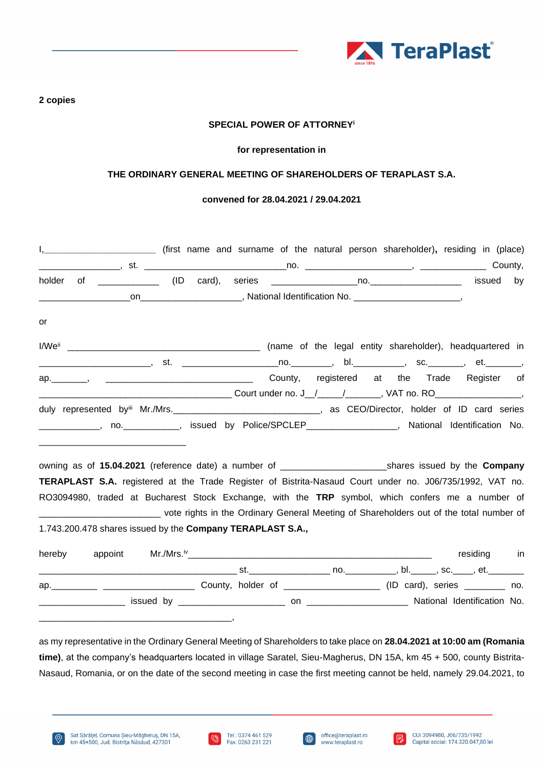

### **2 copies**

# **SPECIAL POWER OF ATTORNEY<sup>i</sup>**

#### **for representation in**

# **THE ORDINARY GENERAL MEETING OF SHAREHOLDERS OF TERAPLAST S.A.**

### **convened for 28.04.2021 / 29.04.2021**

| holder |                                                                                                                      |  |                                                                      |             | by |
|--------|----------------------------------------------------------------------------------------------------------------------|--|----------------------------------------------------------------------|-------------|----|
|        |                                                                                                                      |  |                                                                      |             |    |
| or     |                                                                                                                      |  |                                                                      |             |    |
|        |                                                                                                                      |  |                                                                      |             |    |
|        | _________________________, st.  _______________________no.___________, bl.____________, sc._________, et._________,  |  |                                                                      |             |    |
|        |                                                                                                                      |  |                                                                      |             |    |
|        |                                                                                                                      |  |                                                                      |             |    |
|        | duly represented byiii Mr./Mrs. ________________________________, as CEO/Director, holder of ID card series          |  |                                                                      |             |    |
|        | _____________, no.____________, issued by Police/SPCLEP__________________, National Identification No.               |  |                                                                      |             |    |
|        | <u> 1989 - Johann Barbara, martxa al III-lea (h. 1989).</u>                                                          |  |                                                                      |             |    |
|        | <b>TERAPLAST S.A.</b> registered at the Trade Register of Bistrita-Nasaud Court under no. J06/735/1992, VAT no.      |  |                                                                      |             |    |
|        | RO3094980, traded at Bucharest Stock Exchange, with the TRP symbol, which confers me a number of                     |  |                                                                      |             |    |
|        |                                                                                                                      |  |                                                                      |             |    |
|        | _____________________________ vote rights in the Ordinary General Meeting of Shareholders out of the total number of |  |                                                                      |             |    |
|        | 1.743.200.478 shares issued by the Company TERAPLAST S.A.,                                                           |  |                                                                      |             |    |
| hereby |                                                                                                                      |  |                                                                      | residing in |    |
|        |                                                                                                                      |  |                                                                      |             |    |
|        |                                                                                                                      |  | ap. 10. All County, holder of 2000 2000 (ID card), series 2000 2000. |             |    |
|        |                                                                                                                      |  |                                                                      |             |    |

as my representative in the Ordinary General Meeting of Shareholders to take place on **28.04.2021 at 10:00 am (Romania time)**, at the company's headquarters located in village Saratel, Sieu-Magherus, DN 15A, km 45 + 500, county Bistrita-Nasaud, Romania, or on the date of the second meeting in case the first meeting cannot be held, namely 29.04.2021, to





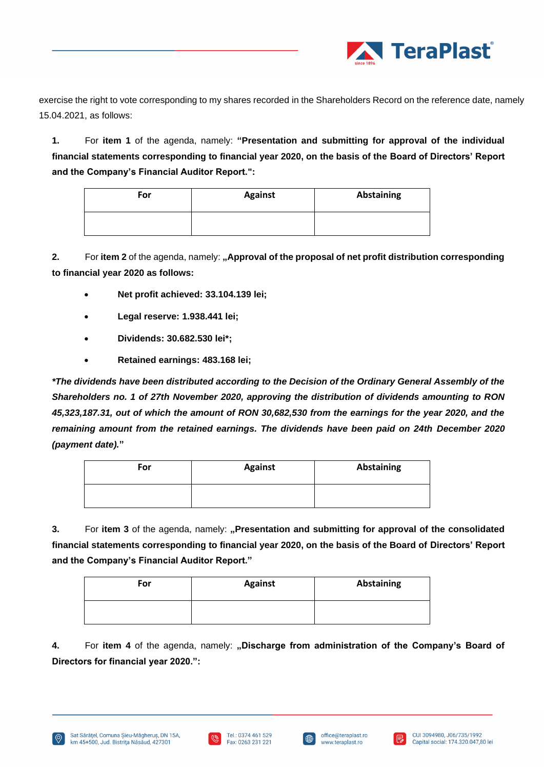

exercise the right to vote corresponding to my shares recorded in the Shareholders Record on the reference date, namely 15.04.2021, as follows:

**1.** For **item 1** of the agenda, namely: **"Presentation and submitting for approval of the individual financial statements corresponding to financial year 2020, on the basis of the Board of Directors' Report and the Company's Financial Auditor Report.":**

| For | <b>Against</b> | <b>Abstaining</b> |
|-----|----------------|-------------------|
|     |                |                   |

**2.** For item 2 of the agenda, namely: "Approval of the proposal of net profit distribution corresponding **to financial year 2020 as follows:**

- **Net profit achieved: 33.104.139 lei;**
- **Legal reserve: 1.938.441 lei;**
- **Dividends: 30.682.530 lei\*;**
- **Retained earnings: 483.168 lei;**

*\*The dividends have been distributed according to the Decision of the Ordinary General Assembly of the Shareholders no. 1 of 27th November 2020, approving the distribution of dividends amounting to RON 45,323,187.31, out of which the amount of RON 30,682,530 from the earnings for the year 2020, and the remaining amount from the retained earnings. The dividends have been paid on 24th December 2020 (payment date).***"**

| For | <b>Against</b> | Abstaining |
|-----|----------------|------------|
|     |                |            |

**3.** For item 3 of the agenda, namely: "Presentation and submitting for approval of the consolidated **financial statements corresponding to financial year 2020, on the basis of the Board of Directors' Report and the Company's Financial Auditor Report."**

| For | <b>Against</b> | <b>Abstaining</b> |
|-----|----------------|-------------------|
|     |                |                   |

**4.** For **item 4** of the agenda, namely: **"Discharge from administration of the Company's Board of Directors for financial year 2020.":**





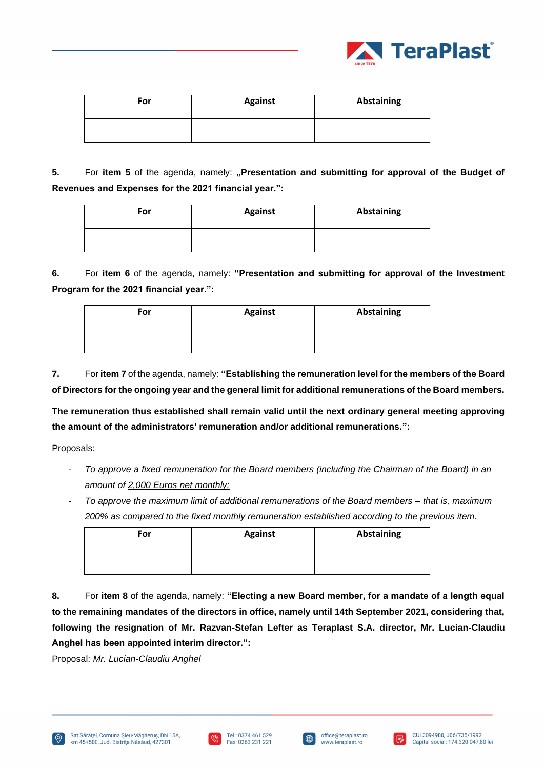

| For | <b>Against</b> | <b>Abstaining</b> |
|-----|----------------|-------------------|
|     |                |                   |

**5.** For item 5 of the agenda, namely: "Presentation and submitting for approval of the Budget of **Revenues and Expenses for the 2021 financial year.":**

| For | <b>Against</b> | <b>Abstaining</b> |
|-----|----------------|-------------------|
|     |                |                   |

**6.** For **item 6** of the agenda, namely: **"Presentation and submitting for approval of the Investment Program for the 2021 financial year.":**

| For | <b>Against</b> | Abstaining |
|-----|----------------|------------|
|     |                |            |

**7.** For **item 7** of the agenda, namely: **"Establishing the remuneration level for the members of the Board of Directors for the ongoing year and the general limit for additional remunerations of the Board members.** 

**The remuneration thus established shall remain valid until the next ordinary general meeting approving the amount of the administrators' remuneration and/or additional remunerations.":**

Proposals:

- *To approve a fixed remuneration for the Board members (including the Chairman of the Board) in an amount of 2,000 Euros net monthly;*
- *To approve the maximum limit of additional remunerations of the Board members – that is, maximum 200% as compared to the fixed monthly remuneration established according to the previous item.*

| For | <b>Against</b> | Abstaining |
|-----|----------------|------------|
|     |                |            |

**8.** For **item 8** of the agenda, namely: **"Electing a new Board member, for a mandate of a length equal to the remaining mandates of the directors in office, namely until 14th September 2021, considering that, following the resignation of Mr. Razvan-Stefan Lefter as Teraplast S.A. director, Mr. Lucian-Claudiu Anghel has been appointed interim director.":**

Proposal: *Mr. Lucian-Claudiu Anghel*





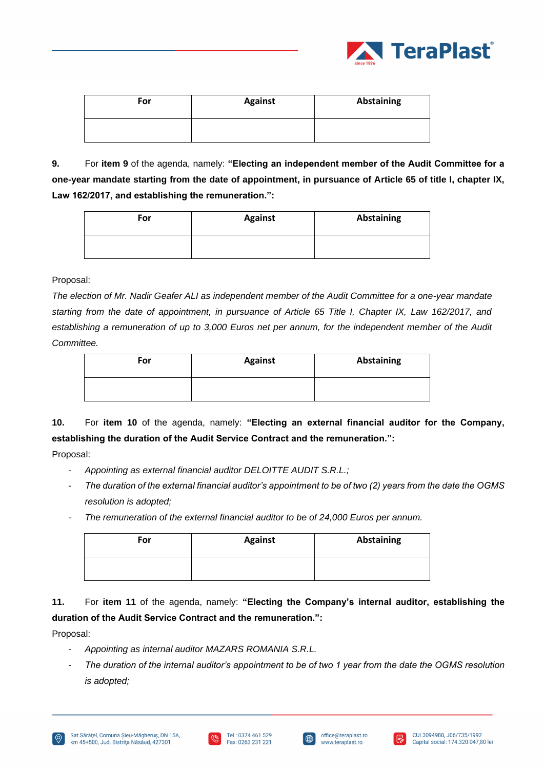

| For | <b>Against</b> | Abstaining |
|-----|----------------|------------|
|     |                |            |

**9.** For **item 9** of the agenda, namely: **"Electing an independent member of the Audit Committee for a one-year mandate starting from the date of appointment, in pursuance of Article 65 of title I, chapter IX, Law 162/2017, and establishing the remuneration.":**

| For | <b>Against</b> | <b>Abstaining</b> |
|-----|----------------|-------------------|
|     |                |                   |

# Proposal:

*The election of Mr. Nadir Geafer ALI as independent member of the Audit Committee for a one-year mandate starting from the date of appointment, in pursuance of Article 65 Title I, Chapter IX, Law 162/2017, and*  establishing a remuneration of up to 3,000 Euros net per annum, for the independent member of the Audit *Committee.*

| For | <b>Against</b> | Abstaining |
|-----|----------------|------------|
|     |                |            |

**10.** For **item 10** of the agenda, namely: **"Electing an external financial auditor for the Company, establishing the duration of the Audit Service Contract and the remuneration.":**

Proposal:

- *Appointing as external financial auditor DELOITTE AUDIT S.R.L.;*
- *The duration of the external financial auditor's appointment to be of two (2) years from the date the OGMS resolution is adopted;*
- *The remuneration of the external financial auditor to be of 24,000 Euros per annum.*

| For | <b>Against</b> | Abstaining |
|-----|----------------|------------|
|     |                |            |

**11.** For **item 11** of the agenda, namely: **"Electing the Company's internal auditor, establishing the duration of the Audit Service Contract and the remuneration.":**

Proposal:

- *Appointing as internal auditor MAZARS ROMANIA S.R.L.*
- *The duration of the internal auditor's appointment to be of two 1 year from the date the OGMS resolution is adopted;*





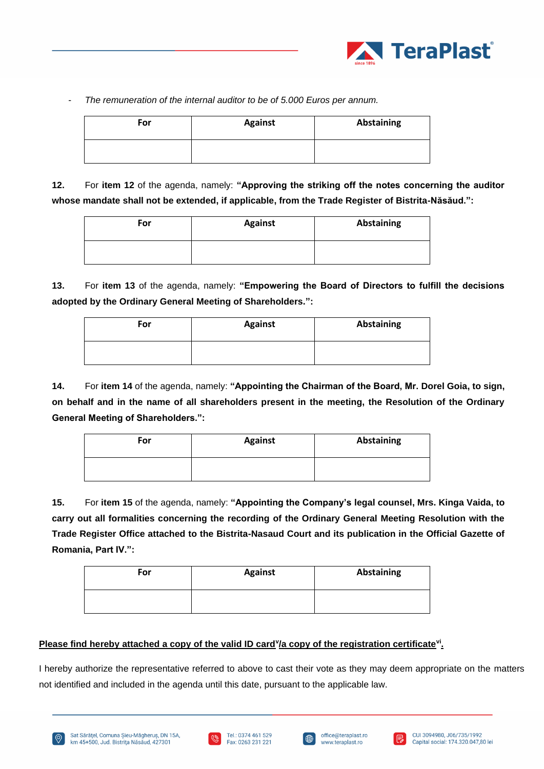

The remuneration of the internal auditor to be of 5.000 Euros per annum.

| For | <b>Against</b> | <b>Abstaining</b> |
|-----|----------------|-------------------|
|     |                |                   |

**12.** For **item 12** of the agenda, namely: **"Approving the striking off the notes concerning the auditor whose mandate shall not be extended, if applicable, from the Trade Register of Bistrita-Năsăud.":**

| For | <b>Against</b> | <b>Abstaining</b> |
|-----|----------------|-------------------|
|     |                |                   |

**13.** For **item 13** of the agenda, namely: **"Empowering the Board of Directors to fulfill the decisions adopted by the Ordinary General Meeting of Shareholders.":**

| For | <b>Against</b> | <b>Abstaining</b> |
|-----|----------------|-------------------|
|     |                |                   |

**14.** For **item 14** of the agenda, namely: **"Appointing the Chairman of the Board, Mr. Dorel Goia, to sign, on behalf and in the name of all shareholders present in the meeting, the Resolution of the Ordinary General Meeting of Shareholders.":**

| For | <b>Against</b> | Abstaining |
|-----|----------------|------------|
|     |                |            |

**15.** For **item 15** of the agenda, namely: **"Appointing the Company's legal counsel, Mrs. Kinga Vaida, to carry out all formalities concerning the recording of the Ordinary General Meeting Resolution with the Trade Register Office attached to the Bistrita-Nasaud Court and its publication in the Official Gazette of Romania, Part IV.":**

| For | <b>Against</b> | Abstaining |
|-----|----------------|------------|
|     |                |            |

# Please find hereby attached a copy of the valid ID card<sup>y</sup>/a copy of the registration certificate<sup>vi</sup>.

I hereby authorize the representative referred to above to cast their vote as they may deem appropriate on the matters not identified and included in the agenda until this date, pursuant to the applicable law.







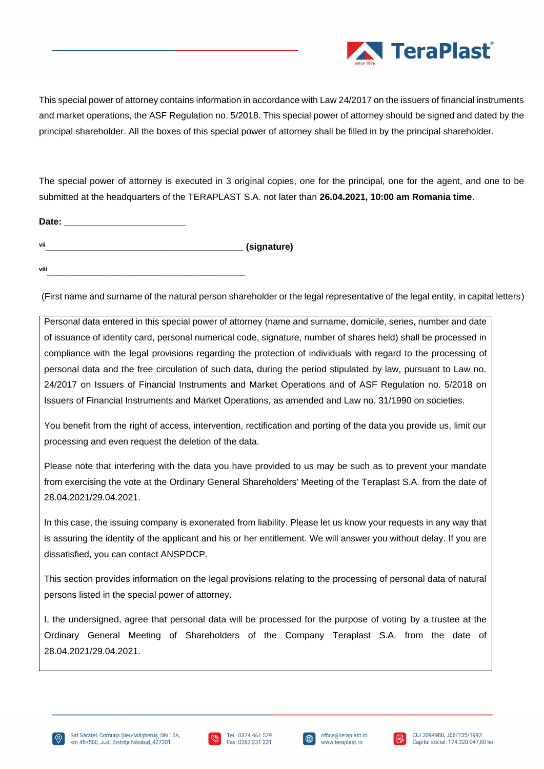

This special power of attorney contains information in accordance with Law 24/2017 on the issuers of financial instruments and market operations, the ASF Regulation no. 5/2018. This special power of attorney should be signed and dated by the principal shareholder. All the boxes of this special power of attorney shall be filled in by the principal shareholder.

The special power of attorney is executed in 3 original copies, one for the principal, one for the agent, and one to be submitted at the headquarters of the TERAPLAST S.A. not later than **26.04.2021, 10:00 am Romania time**.

| Date: |             |
|-------|-------------|
| vii   | (signature) |
|       |             |

**viii\_\_\_\_\_\_\_\_\_\_\_\_\_\_\_\_\_\_\_\_\_\_\_\_\_\_\_\_\_\_\_\_\_\_\_\_\_\_\_**

(First name and surname of the natural person shareholder or the legal representative of the legal entity, in capital letters)

Personal data entered in this special power of attorney (name and surname, domicile, series, number and date of issuance of identity card, personal numerical code, signature, number of shares held) shall be processed in compliance with the legal provisions regarding the protection of individuals with regard to the processing of personal data and the free circulation of such data, during the period stipulated by law, pursuant to Law no. 24/2017 on Issuers of Financial Instruments and Market Operations and of ASF Regulation no. 5/2018 on Issuers of Financial Instruments and Market Operations, as amended and Law no. 31/1990 on societies.

You benefit from the right of access, intervention, rectification and porting of the data you provide us, limit our processing and even request the deletion of the data.

Please note that interfering with the data you have provided to us may be such as to prevent your mandate from exercising the vote at the Ordinary General Shareholders' Meeting of the Teraplast S.A. from the date of 28.04.2021/29.04.2021.

In this case, the issuing company is exonerated from liability. Please let us know your requests in any way that is assuring the identity of the applicant and his or her entitlement. We will answer you without delay. If you are dissatisfied, you can contact ANSPDCP.

This section provides information on the legal provisions relating to the processing of personal data of natural persons listed in the special power of attorney.

I, the undersigned, agree that personal data will be processed for the purpose of voting by a trustee at the Ordinary General Meeting of Shareholders of the Company Teraplast S.A. from the date of 28.04.2021/29.04.2021.